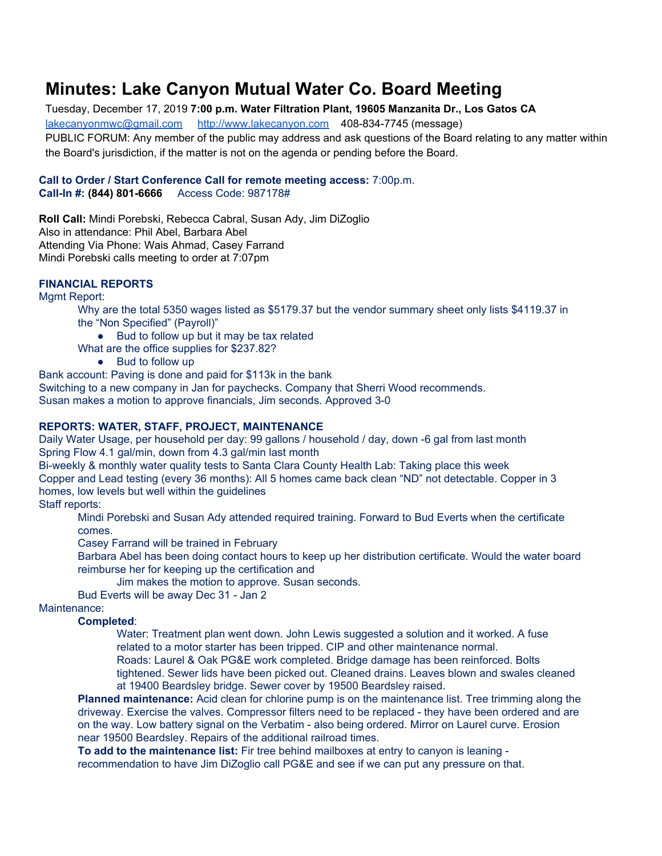# **Minutes: Lake Canyon Mutual Water Co. Board Meeting**

Tuesday, December 17, 2019 **7:00 p.m. Water Filtration Plant, 19605 Manzanita Dr., Los Gatos CA** [lakecanyonmwc@gmail.com](mailto:lakecanyonmwc@gmail.com) [http://www.lakecanyon.com](http://www.lakecanyon.com/) 408-834-7745 (message) PUBLIC FORUM: Any member of the public may address and ask questions of the Board relating to any matter within the Board's jurisdiction, if the matter is not on the agenda or pending before the Board.

#### **Call to Order / Start Conference Call for remote meeting access:** 7:00p.m. **Call-In #: (844) 801-6666** Access Code: 987178#

**Roll Call:** Mindi Porebski, Rebecca Cabral, Susan Ady, Jim DiZoglio Also in attendance: Phil Abel, Barbara Abel Attending Via Phone: Wais Ahmad, Casey Farrand Mindi Porebski calls meeting to order at 7:07pm

#### **FINANCIAL REPORTS**

Mgmt Report:

Why are the total 5350 wages listed as \$5179.37 but the vendor summary sheet only lists \$4119.37 in the "Non Specified" (Payroll)"

● Bud to follow up but it may be tax related

What are the office supplies for \$237.82?

● Bud to follow up

Bank account: Paving is done and paid for \$113k in the bank

Switching to a new company in Jan for paychecks. Company that Sherri Wood recommends.

Susan makes a motion to approve financials, Jim seconds. Approved 3-0

#### **REPORTS: WATER, STAFF, PROJECT, MAINTENANCE**

Daily Water Usage, per household per day: 99 gallons / household / day, down -6 gal from last month Spring Flow 4.1 gal/min, down from 4.3 gal/min last month

Bi-weekly & monthly water quality tests to Santa Clara County Health Lab: Taking place this week Copper and Lead testing (every 36 months): All 5 homes came back clean "ND" not detectable. Copper in 3 homes, low levels but well within the guidelines

## Staff reports:

Mindi Porebski and Susan Ady attended required training. Forward to Bud Everts when the certificate comes.

Casey Farrand will be trained in February

Barbara Abel has been doing contact hours to keep up her distribution certificate. Would the water board reimburse her for keeping up the certification and

Jim makes the motion to approve. Susan seconds.

Bud Everts will be away Dec 31 - Jan 2

## Maintenance:

**Completed**:

Water: Treatment plan went down. John Lewis suggested a solution and it worked. A fuse related to a motor starter has been tripped. CIP and other maintenance normal. Roads: Laurel & Oak PG&E work completed. Bridge damage has been reinforced. Bolts tightened. Sewer lids have been picked out. Cleaned drains. Leaves blown and swales cleaned at 19400 Beardsley bridge. Sewer cover by 19500 Beardsley raised.

**Planned maintenance:** Acid clean for chlorine pump is on the maintenance list. Tree trimming along the driveway. Exercise the valves. Compressor filters need to be replaced - they have been ordered and are on the way. Low battery signal on the Verbatim - also being ordered. Mirror on Laurel curve. Erosion near 19500 Beardsley. Repairs of the additional railroad times.

**To add to the maintenance list:** Fir tree behind mailboxes at entry to canyon is leaning recommendation to have Jim DiZoglio call PG&E and see if we can put any pressure on that.